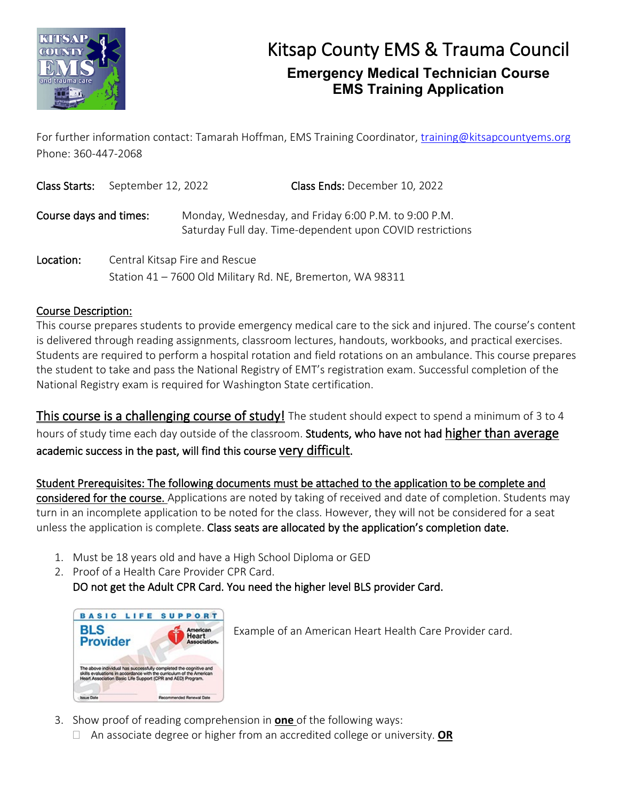

For further information contact: Tamarah Hoffman, EMS Training Coordinator, [training@kitsapcountyems.org](mailto:training@kitsapcountyems.org) Phone: 360-447-2068

| Class Starts:          | September 12, 2022 |                                | Class Ends: December 10, 2022                                                                                     |
|------------------------|--------------------|--------------------------------|-------------------------------------------------------------------------------------------------------------------|
| Course days and times: |                    |                                | Monday, Wednesday, and Friday 6:00 P.M. to 9:00 P.M.<br>Saturday Full day. Time-dependent upon COVID restrictions |
| Location:              |                    | Central Kitsap Fire and Rescue |                                                                                                                   |

Station 41 – 7600 Old Military Rd. NE, Bremerton, WA 98311

### Course Description:

This course prepares students to provide emergency medical care to the sick and injured. The course's content is delivered through reading assignments, classroom lectures, handouts, workbooks, and practical exercises. Students are required to perform a hospital rotation and field rotations on an ambulance. This course prepares the student to take and pass the National Registry of EMT's registration exam. Successful completion of the National Registry exam is required for Washington State certification.

This course is a challenging course of study! The student should expect to spend a minimum of 3 to 4 hours of study time each day outside of the classroom. Students, who have not had higher than average academic success in the past, will find this course very difficult.

Student Prerequisites: The following documents must be attached to the application to be complete and considered for the course. Applications are noted by taking of received and date of completion. Students may turn in an incomplete application to be noted for the class. However, they will not be considered for a seat unless the application is complete. Class seats are allocated by the application's completion date.

- 1. Must be 18 years old and have a High School Diploma or GED
- 2. Proof of a Health Care Provider CPR Card. DO not get the Adult CPR Card. You need the higher level BLS provider Card.



Example of an American Heart Health Care Provider card.

- 3. Show proof of reading comprehension in **one** of the following ways:
	- An associate degree or higher from an accredited college or university. **OR**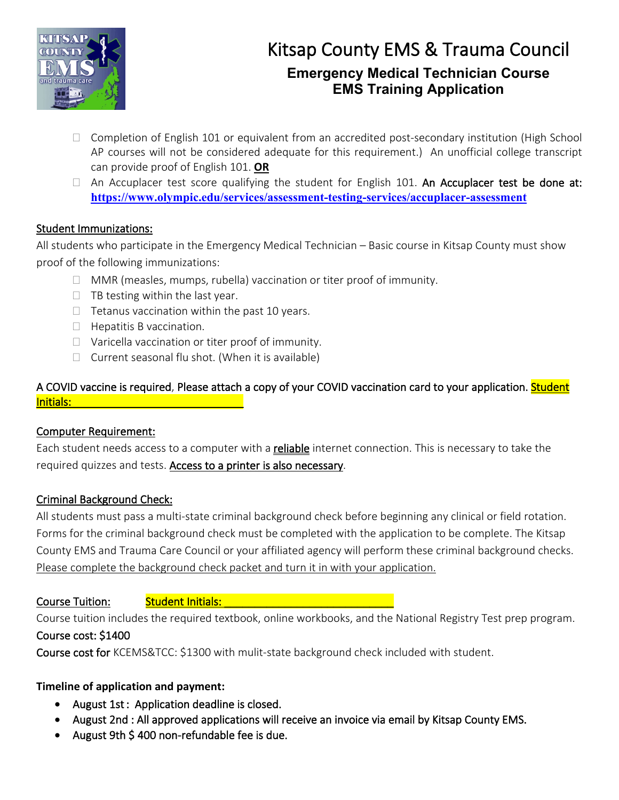

- $\Box$  Completion of English 101 or equivalent from an accredited post-secondary institution (High School AP courses will not be considered adequate for this requirement.) An unofficial college transcript can provide proof of English 101. **OR**
- $\Box$  An Accuplacer test score qualifying the student for English 101. An Accuplacer test be done at: **<https://www.olympic.edu/services/assessment-testing-services/accuplacer-assessment>**

### Student Immunizations:

All students who participate in the Emergency Medical Technician – Basic course in Kitsap County must show proof of the following immunizations:

- $\Box$  MMR (measles, mumps, rubella) vaccination or titer proof of immunity.
- $\Box$  TB testing within the last year.
- $\Box$  Tetanus vaccination within the past 10 years.
- $\Box$  Hepatitis B vaccination.
- $\Box$  Varicella vaccination or titer proof of immunity.
- $\Box$  Current seasonal flu shot. (When it is available)

### A COVID vaccine is required, Please attach a copy of your COVID vaccination card to your application. Student Initials: \_\_\_\_\_\_\_\_\_\_\_\_\_\_

### Computer Requirement:

Each student needs access to a computer with a reliable internet connection. This is necessary to take the required quizzes and tests. Access to a printer is also necessary.

### Criminal Background Check:

All students must pass a multi-state criminal background check before beginning any clinical or field rotation. Forms for the criminal background check must be completed with the application to be complete. The Kitsap County EMS and Trauma Care Council or your affiliated agency will perform these criminal background checks. Please complete the background check packet and turn it in with your application.

Course Tuition: And Student Initials: And Allen Course Tuitings

Course tuition includes the required textbook, online workbooks, and the National Registry Test prep program. Course cost: \$1400

Course cost for KCEMS&TCC: \$1300 with mulit-state background check included with student.

### **Timeline of application and payment:**

- August 1st : Application deadline is closed.
- August 2nd : All approved applications will receive an invoice via email by Kitsap County EMS.
- August 9th \$ 400 non-refundable fee is due.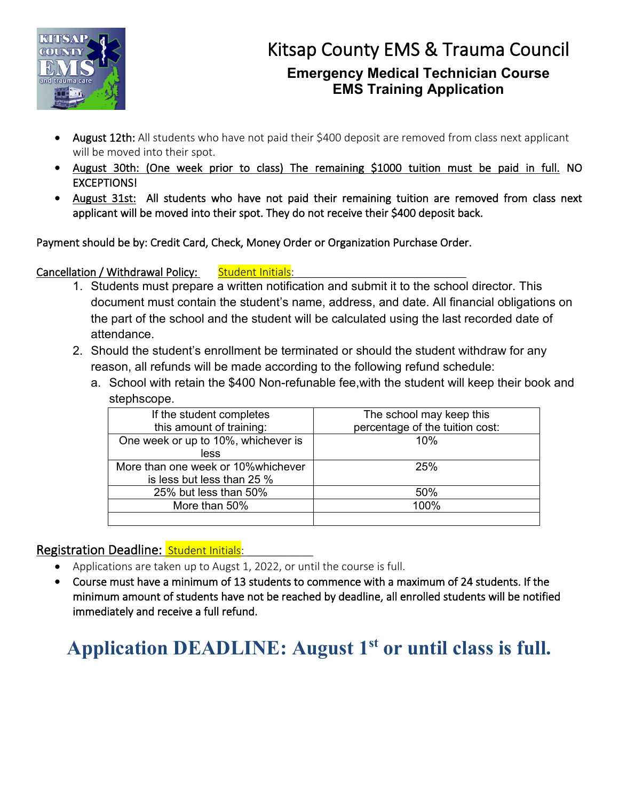

- August 12th: All students who have not paid their \$400 deposit are removed from class next applicant will be moved into their spot.
- August 30th: (One week prior to class) The remaining \$1000 tuition must be paid in full. NO EXCEPTIONS!
- August 31st: All students who have not paid their remaining tuition are removed from class next applicant will be moved into their spot. They do not receive their \$400 deposit back.

Payment should be by: Credit Card, Check, Money Order or Organization Purchase Order.

### Cancellation / Withdrawal Policy: Student Initials:

- 1. Students must prepare a written notification and submit it to the school director. This document must contain the student's name, address, and date. All financial obligations on the part of the school and the student will be calculated using the last recorded date of attendance.
- 2. Should the student's enrollment be terminated or should the student withdraw for any reason, all refunds will be made according to the following refund schedule:
	- a. School with retain the \$400 Non-refunable fee,with the student will keep their book and stephscope.

| If the student completes            | The school may keep this        |  |
|-------------------------------------|---------------------------------|--|
| this amount of training:            | percentage of the tuition cost: |  |
| One week or up to 10%, whichever is | 10%                             |  |
| less                                |                                 |  |
| More than one week or 10% whichever | 25%                             |  |
| is less but less than 25 %          |                                 |  |
| 25% but less than 50%               | 50%                             |  |
| More than 50%                       | 100%                            |  |
|                                     |                                 |  |

### Registration Deadline: Student Initials:

- Applications are taken up to Augst 1, 2022, or until the course is full.
- Course must have a minimum of 13 students to commence with a maximum of 24 students. If the minimum amount of students have not be reached by deadline, all enrolled students will be notified immediately and receive a full refund.

# Application DEADLINE: August 1<sup>st</sup> or until class is full.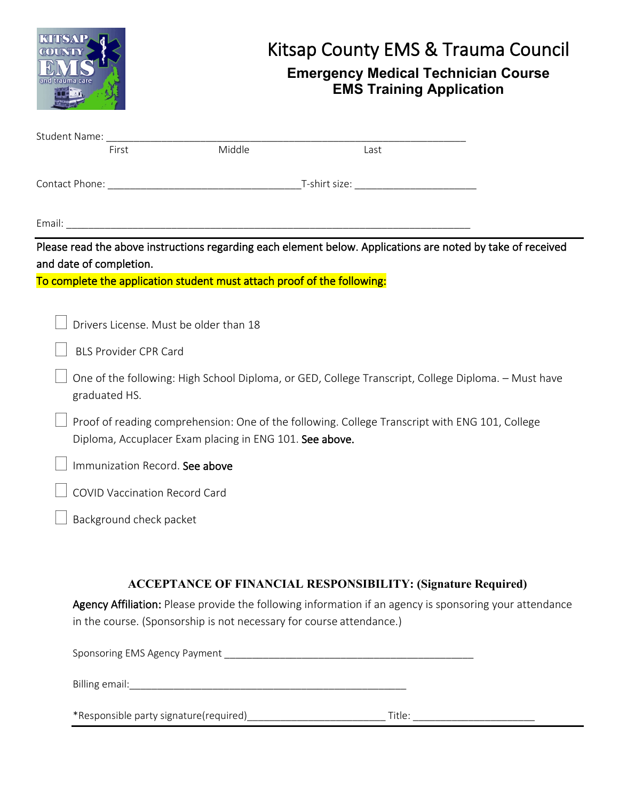|                                                                                                                                                           | Kitsap County EMS & Trauma Council<br><b>Emergency Medical Technician Course</b><br><b>EMS Training Application</b> |      |                                                                                                                                                                                |  |  |  |  |
|-----------------------------------------------------------------------------------------------------------------------------------------------------------|---------------------------------------------------------------------------------------------------------------------|------|--------------------------------------------------------------------------------------------------------------------------------------------------------------------------------|--|--|--|--|
| Student Name: ________________________<br>First                                                                                                           | Middle                                                                                                              | Last |                                                                                                                                                                                |  |  |  |  |
|                                                                                                                                                           |                                                                                                                     |      |                                                                                                                                                                                |  |  |  |  |
|                                                                                                                                                           |                                                                                                                     |      |                                                                                                                                                                                |  |  |  |  |
| and date of completion.<br>Drivers License. Must be older than 18                                                                                         | To complete the application student must attach proof of the following:                                             |      | Please read the above instructions regarding each element below. Applications are noted by take of received                                                                    |  |  |  |  |
| <b>BLS Provider CPR Card</b>                                                                                                                              |                                                                                                                     |      |                                                                                                                                                                                |  |  |  |  |
| One of the following: High School Diploma, or GED, College Transcript, College Diploma. - Must have<br>graduated HS.                                      |                                                                                                                     |      |                                                                                                                                                                                |  |  |  |  |
| Proof of reading comprehension: One of the following. College Transcript with ENG 101, College<br>Diploma, Accuplacer Exam placing in ENG 101. See above. |                                                                                                                     |      |                                                                                                                                                                                |  |  |  |  |
| Immunization Record. See above                                                                                                                            |                                                                                                                     |      |                                                                                                                                                                                |  |  |  |  |
| <b>COVID Vaccination Record Card</b>                                                                                                                      |                                                                                                                     |      |                                                                                                                                                                                |  |  |  |  |
| Background check packet                                                                                                                                   |                                                                                                                     |      |                                                                                                                                                                                |  |  |  |  |
|                                                                                                                                                           | in the course. (Sponsorship is not necessary for course attendance.)                                                |      | <b>ACCEPTANCE OF FINANCIAL RESPONSIBILITY: (Signature Required)</b><br>Agency Affiliation: Please provide the following information if an agency is sponsoring your attendance |  |  |  |  |
|                                                                                                                                                           |                                                                                                                     |      |                                                                                                                                                                                |  |  |  |  |
|                                                                                                                                                           |                                                                                                                     |      |                                                                                                                                                                                |  |  |  |  |
|                                                                                                                                                           |                                                                                                                     |      |                                                                                                                                                                                |  |  |  |  |